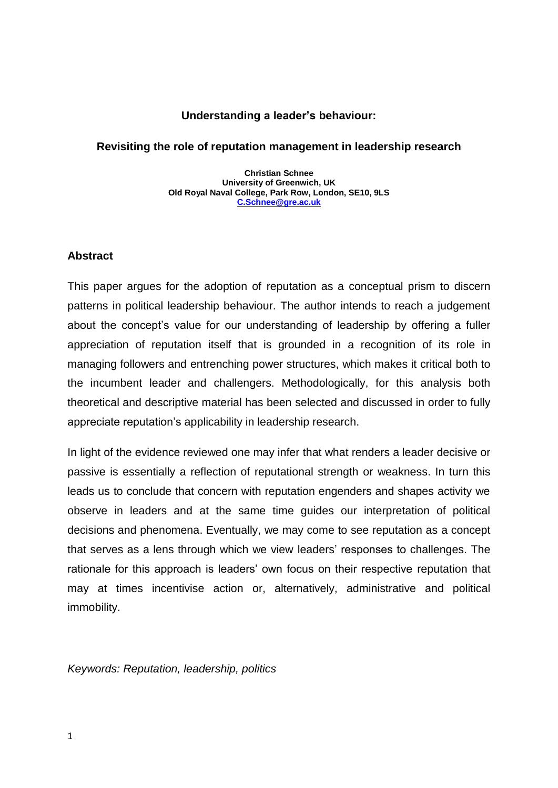# **Understanding a leader's behaviour:**

# **Revisiting the role of reputation management in leadership research**

**Christian Schnee University of Greenwich, UK Old Royal Naval College, Park Row, London, SE10, 9LS [C.Schnee@gre.ac.uk](mailto:C.Schnee@gre.ac.uk)**

## **Abstract**

This paper argues for the adoption of reputation as a conceptual prism to discern patterns in political leadership behaviour. The author intends to reach a judgement about the concept's value for our understanding of leadership by offering a fuller appreciation of reputation itself that is grounded in a recognition of its role in managing followers and entrenching power structures, which makes it critical both to the incumbent leader and challengers. Methodologically, for this analysis both theoretical and descriptive material has been selected and discussed in order to fully appreciate reputation's applicability in leadership research.

In light of the evidence reviewed one may infer that what renders a leader decisive or passive is essentially a reflection of reputational strength or weakness. In turn this leads us to conclude that concern with reputation engenders and shapes activity we observe in leaders and at the same time guides our interpretation of political decisions and phenomena. Eventually, we may come to see reputation as a concept that serves as a lens through which we view leaders' responses to challenges. The rationale for this approach is leaders' own focus on their respective reputation that may at times incentivise action or, alternatively, administrative and political immobility.

*Keywords: Reputation, leadership, politics*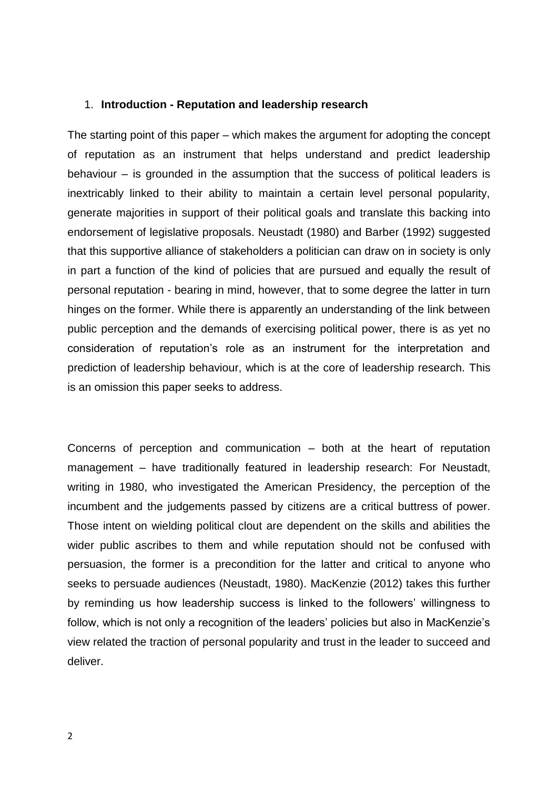#### 1. **Introduction - Reputation and leadership research**

The starting point of this paper – which makes the argument for adopting the concept of reputation as an instrument that helps understand and predict leadership behaviour – is grounded in the assumption that the success of political leaders is inextricably linked to their ability to maintain a certain level personal popularity, generate majorities in support of their political goals and translate this backing into endorsement of legislative proposals. Neustadt (1980) and Barber (1992) suggested that this supportive alliance of stakeholders a politician can draw on in society is only in part a function of the kind of policies that are pursued and equally the result of personal reputation - bearing in mind, however, that to some degree the latter in turn hinges on the former. While there is apparently an understanding of the link between public perception and the demands of exercising political power, there is as yet no consideration of reputation's role as an instrument for the interpretation and prediction of leadership behaviour, which is at the core of leadership research. This is an omission this paper seeks to address.

Concerns of perception and communication – both at the heart of reputation management – have traditionally featured in leadership research: For Neustadt, writing in 1980, who investigated the American Presidency, the perception of the incumbent and the judgements passed by citizens are a critical buttress of power. Those intent on wielding political clout are dependent on the skills and abilities the wider public ascribes to them and while reputation should not be confused with persuasion, the former is a precondition for the latter and critical to anyone who seeks to persuade audiences (Neustadt, 1980). MacKenzie (2012) takes this further by reminding us how leadership success is linked to the followers' willingness to follow, which is not only a recognition of the leaders' policies but also in MacKenzie's view related the traction of personal popularity and trust in the leader to succeed and deliver.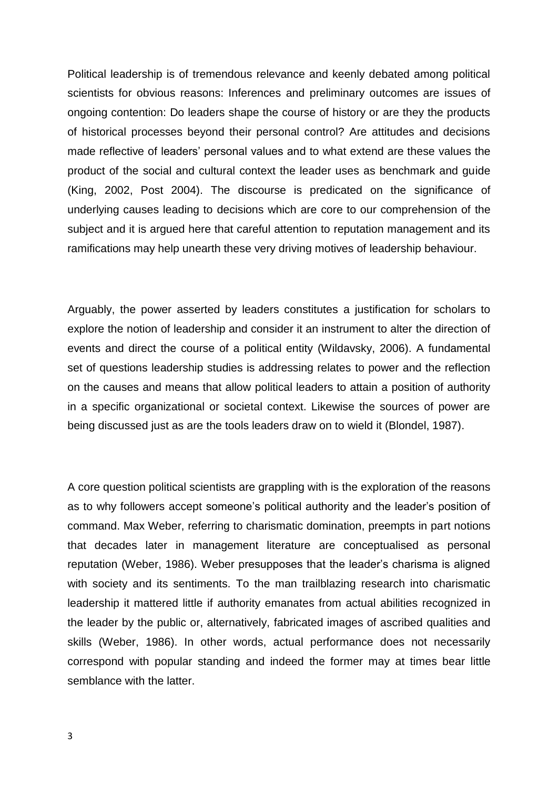Political leadership is of tremendous relevance and keenly debated among political scientists for obvious reasons: Inferences and preliminary outcomes are issues of ongoing contention: Do leaders shape the course of history or are they the products of historical processes beyond their personal control? Are attitudes and decisions made reflective of leaders' personal values and to what extend are these values the product of the social and cultural context the leader uses as benchmark and guide (King, 2002, Post 2004). The discourse is predicated on the significance of underlying causes leading to decisions which are core to our comprehension of the subject and it is argued here that careful attention to reputation management and its ramifications may help unearth these very driving motives of leadership behaviour.

Arguably, the power asserted by leaders constitutes a justification for scholars to explore the notion of leadership and consider it an instrument to alter the direction of events and direct the course of a political entity (Wildavsky, 2006). A fundamental set of questions leadership studies is addressing relates to power and the reflection on the causes and means that allow political leaders to attain a position of authority in a specific organizational or societal context. Likewise the sources of power are being discussed just as are the tools leaders draw on to wield it (Blondel, 1987).

A core question political scientists are grappling with is the exploration of the reasons as to why followers accept someone's political authority and the leader's position of command. Max Weber, referring to charismatic domination, preempts in part notions that decades later in management literature are conceptualised as personal reputation (Weber, 1986). Weber presupposes that the leader's charisma is aligned with society and its sentiments. To the man trailblazing research into charismatic leadership it mattered little if authority emanates from actual abilities recognized in the leader by the public or, alternatively, fabricated images of ascribed qualities and skills (Weber, 1986). In other words, actual performance does not necessarily correspond with popular standing and indeed the former may at times bear little semblance with the latter.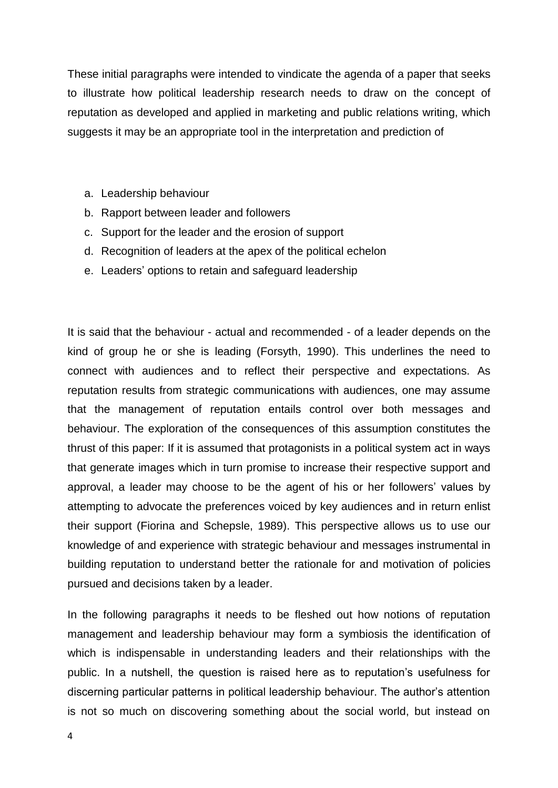These initial paragraphs were intended to vindicate the agenda of a paper that seeks to illustrate how political leadership research needs to draw on the concept of reputation as developed and applied in marketing and public relations writing, which suggests it may be an appropriate tool in the interpretation and prediction of

- a. Leadership behaviour
- b. Rapport between leader and followers
- c. Support for the leader and the erosion of support
- d. Recognition of leaders at the apex of the political echelon
- e. Leaders' options to retain and safeguard leadership

It is said that the behaviour - actual and recommended - of a leader depends on the kind of group he or she is leading (Forsyth, 1990). This underlines the need to connect with audiences and to reflect their perspective and expectations. As reputation results from strategic communications with audiences, one may assume that the management of reputation entails control over both messages and behaviour. The exploration of the consequences of this assumption constitutes the thrust of this paper: If it is assumed that protagonists in a political system act in ways that generate images which in turn promise to increase their respective support and approval, a leader may choose to be the agent of his or her followers' values by attempting to advocate the preferences voiced by key audiences and in return enlist their support (Fiorina and Schepsle, 1989). This perspective allows us to use our knowledge of and experience with strategic behaviour and messages instrumental in building reputation to understand better the rationale for and motivation of policies pursued and decisions taken by a leader.

In the following paragraphs it needs to be fleshed out how notions of reputation management and leadership behaviour may form a symbiosis the identification of which is indispensable in understanding leaders and their relationships with the public. In a nutshell, the question is raised here as to reputation's usefulness for discerning particular patterns in political leadership behaviour. The author's attention is not so much on discovering something about the social world, but instead on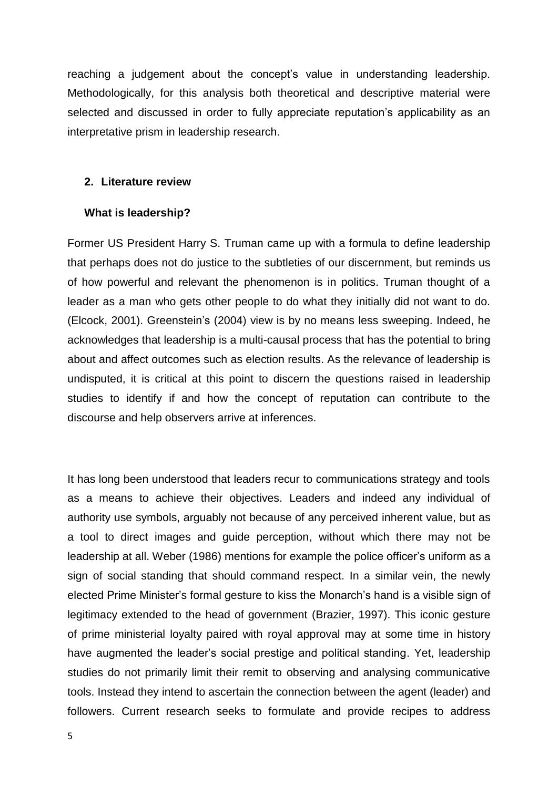reaching a judgement about the concept's value in understanding leadership. Methodologically, for this analysis both theoretical and descriptive material were selected and discussed in order to fully appreciate reputation's applicability as an interpretative prism in leadership research.

## **2. Literature review**

## **What is leadership?**

Former US President Harry S. Truman came up with a formula to define leadership that perhaps does not do justice to the subtleties of our discernment, but reminds us of how powerful and relevant the phenomenon is in politics. Truman thought of a leader as a man who gets other people to do what they initially did not want to do. (Elcock, 2001). Greenstein's (2004) view is by no means less sweeping. Indeed, he acknowledges that leadership is a multi-causal process that has the potential to bring about and affect outcomes such as election results. As the relevance of leadership is undisputed, it is critical at this point to discern the questions raised in leadership studies to identify if and how the concept of reputation can contribute to the discourse and help observers arrive at inferences.

It has long been understood that leaders recur to communications strategy and tools as a means to achieve their objectives. Leaders and indeed any individual of authority use symbols, arguably not because of any perceived inherent value, but as a tool to direct images and guide perception, without which there may not be leadership at all. Weber (1986) mentions for example the police officer's uniform as a sign of social standing that should command respect. In a similar vein, the newly elected Prime Minister's formal gesture to kiss the Monarch's hand is a visible sign of legitimacy extended to the head of government (Brazier, 1997). This iconic gesture of prime ministerial loyalty paired with royal approval may at some time in history have augmented the leader's social prestige and political standing. Yet, leadership studies do not primarily limit their remit to observing and analysing communicative tools. Instead they intend to ascertain the connection between the agent (leader) and followers. Current research seeks to formulate and provide recipes to address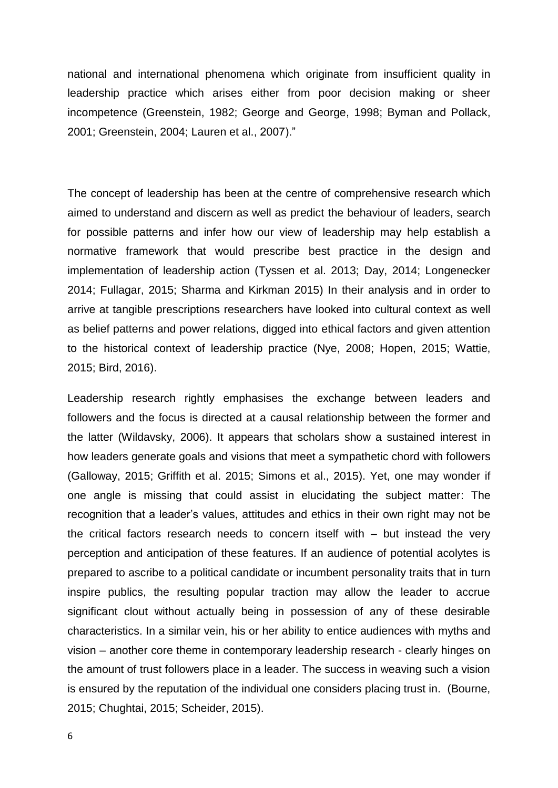national and international phenomena which originate from insufficient quality in leadership practice which arises either from poor decision making or sheer incompetence (Greenstein, 1982; George and George, 1998; Byman and Pollack, 2001; Greenstein, 2004; Lauren et al., 2007)."

The concept of leadership has been at the centre of comprehensive research which aimed to understand and discern as well as predict the behaviour of leaders, search for possible patterns and infer how our view of leadership may help establish a normative framework that would prescribe best practice in the design and implementation of leadership action (Tyssen et al. 2013; Day, 2014; Longenecker 2014; Fullagar, 2015; Sharma and Kirkman 2015) In their analysis and in order to arrive at tangible prescriptions researchers have looked into cultural context as well as belief patterns and power relations, digged into ethical factors and given attention to the historical context of leadership practice (Nye, 2008; Hopen, 2015; Wattie, 2015; Bird, 2016).

Leadership research rightly emphasises the exchange between leaders and followers and the focus is directed at a causal relationship between the former and the latter (Wildavsky, 2006). It appears that scholars show a sustained interest in how leaders generate goals and visions that meet a sympathetic chord with followers (Galloway, 2015; Griffith et al. 2015; Simons et al., 2015). Yet, one may wonder if one angle is missing that could assist in elucidating the subject matter: The recognition that a leader's values, attitudes and ethics in their own right may not be the critical factors research needs to concern itself with – but instead the very perception and anticipation of these features. If an audience of potential acolytes is prepared to ascribe to a political candidate or incumbent personality traits that in turn inspire publics, the resulting popular traction may allow the leader to accrue significant clout without actually being in possession of any of these desirable characteristics. In a similar vein, his or her ability to entice audiences with myths and vision – another core theme in contemporary leadership research - clearly hinges on the amount of trust followers place in a leader. The success in weaving such a vision is ensured by the reputation of the individual one considers placing trust in. (Bourne, 2015; Chughtai, 2015; Scheider, 2015).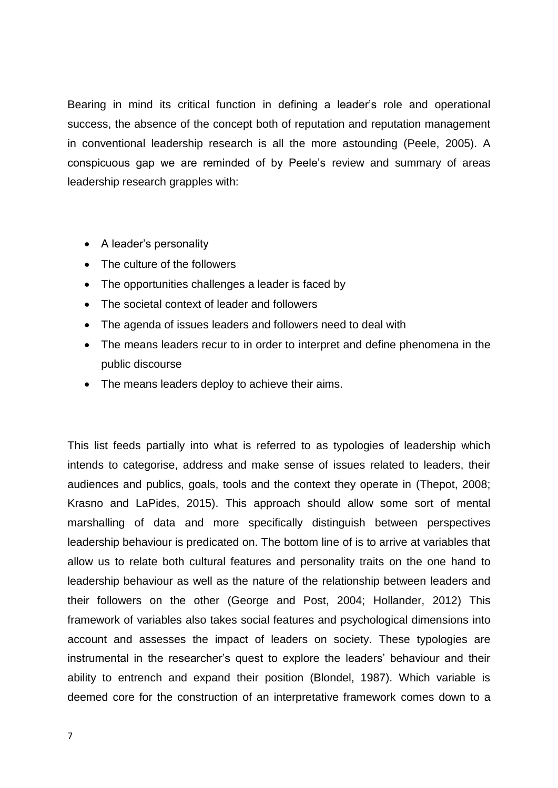Bearing in mind its critical function in defining a leader's role and operational success, the absence of the concept both of reputation and reputation management in conventional leadership research is all the more astounding (Peele, 2005). A conspicuous gap we are reminded of by Peele's review and summary of areas leadership research grapples with:

- A leader's personality
- The culture of the followers
- The opportunities challenges a leader is faced by
- The societal context of leader and followers
- The agenda of issues leaders and followers need to deal with
- The means leaders recur to in order to interpret and define phenomena in the public discourse
- The means leaders deploy to achieve their aims.

This list feeds partially into what is referred to as typologies of leadership which intends to categorise, address and make sense of issues related to leaders, their audiences and publics, goals, tools and the context they operate in (Thepot, 2008; Krasno and LaPides, 2015). This approach should allow some sort of mental marshalling of data and more specifically distinguish between perspectives leadership behaviour is predicated on. The bottom line of is to arrive at variables that allow us to relate both cultural features and personality traits on the one hand to leadership behaviour as well as the nature of the relationship between leaders and their followers on the other (George and Post, 2004; Hollander, 2012) This framework of variables also takes social features and psychological dimensions into account and assesses the impact of leaders on society. These typologies are instrumental in the researcher's quest to explore the leaders' behaviour and their ability to entrench and expand their position (Blondel, 1987). Which variable is deemed core for the construction of an interpretative framework comes down to a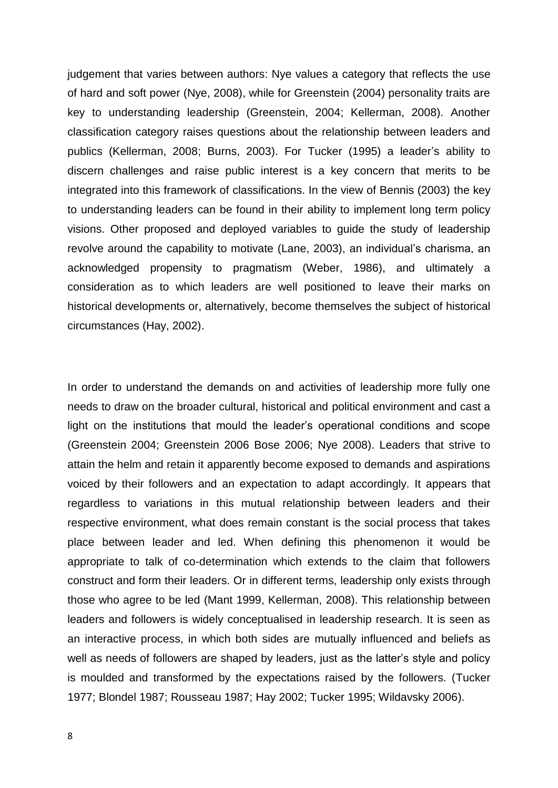judgement that varies between authors: Nye values a category that reflects the use of hard and soft power (Nye, 2008), while for Greenstein (2004) personality traits are key to understanding leadership (Greenstein, 2004; Kellerman, 2008). Another classification category raises questions about the relationship between leaders and publics (Kellerman, 2008; Burns, 2003). For Tucker (1995) a leader's ability to discern challenges and raise public interest is a key concern that merits to be integrated into this framework of classifications. In the view of Bennis (2003) the key to understanding leaders can be found in their ability to implement long term policy visions. Other proposed and deployed variables to guide the study of leadership revolve around the capability to motivate (Lane, 2003), an individual's charisma, an acknowledged propensity to pragmatism (Weber, 1986), and ultimately a consideration as to which leaders are well positioned to leave their marks on historical developments or, alternatively, become themselves the subject of historical circumstances (Hay, 2002).

In order to understand the demands on and activities of leadership more fully one needs to draw on the broader cultural, historical and political environment and cast a light on the institutions that mould the leader's operational conditions and scope (Greenstein 2004; Greenstein 2006 Bose 2006; Nye 2008). Leaders that strive to attain the helm and retain it apparently become exposed to demands and aspirations voiced by their followers and an expectation to adapt accordingly. It appears that regardless to variations in this mutual relationship between leaders and their respective environment, what does remain constant is the social process that takes place between leader and led. When defining this phenomenon it would be appropriate to talk of co-determination which extends to the claim that followers construct and form their leaders. Or in different terms, leadership only exists through those who agree to be led (Mant 1999, Kellerman, 2008). This relationship between leaders and followers is widely conceptualised in leadership research. It is seen as an interactive process, in which both sides are mutually influenced and beliefs as well as needs of followers are shaped by leaders, just as the latter's style and policy is moulded and transformed by the expectations raised by the followers. (Tucker 1977; Blondel 1987; Rousseau 1987; Hay 2002; Tucker 1995; Wildavsky 2006).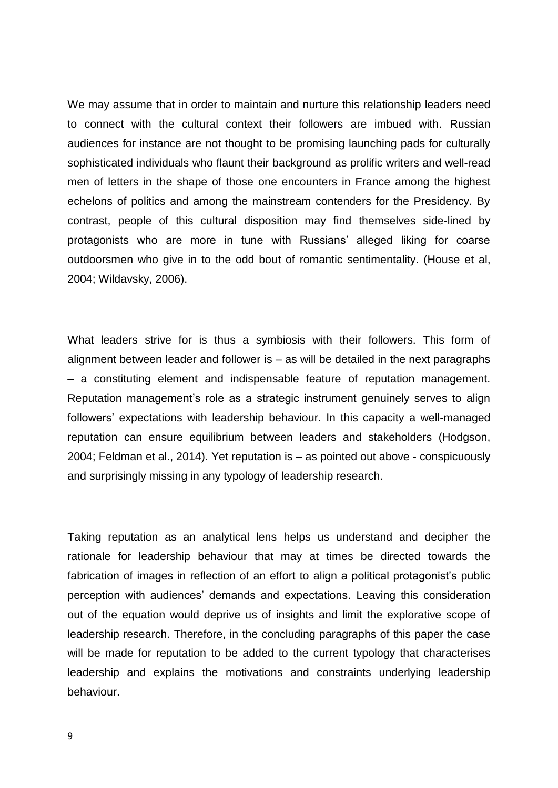We may assume that in order to maintain and nurture this relationship leaders need to connect with the cultural context their followers are imbued with. Russian audiences for instance are not thought to be promising launching pads for culturally sophisticated individuals who flaunt their background as prolific writers and well-read men of letters in the shape of those one encounters in France among the highest echelons of politics and among the mainstream contenders for the Presidency. By contrast, people of this cultural disposition may find themselves side-lined by protagonists who are more in tune with Russians' alleged liking for coarse outdoorsmen who give in to the odd bout of romantic sentimentality. (House et al, 2004; Wildavsky, 2006).

What leaders strive for is thus a symbiosis with their followers. This form of alignment between leader and follower is – as will be detailed in the next paragraphs – a constituting element and indispensable feature of reputation management. Reputation management's role as a strategic instrument genuinely serves to align followers' expectations with leadership behaviour. In this capacity a well-managed reputation can ensure equilibrium between leaders and stakeholders (Hodgson, 2004; Feldman et al., 2014). Yet reputation is – as pointed out above - conspicuously and surprisingly missing in any typology of leadership research.

Taking reputation as an analytical lens helps us understand and decipher the rationale for leadership behaviour that may at times be directed towards the fabrication of images in reflection of an effort to align a political protagonist's public perception with audiences' demands and expectations. Leaving this consideration out of the equation would deprive us of insights and limit the explorative scope of leadership research. Therefore, in the concluding paragraphs of this paper the case will be made for reputation to be added to the current typology that characterises leadership and explains the motivations and constraints underlying leadership behaviour.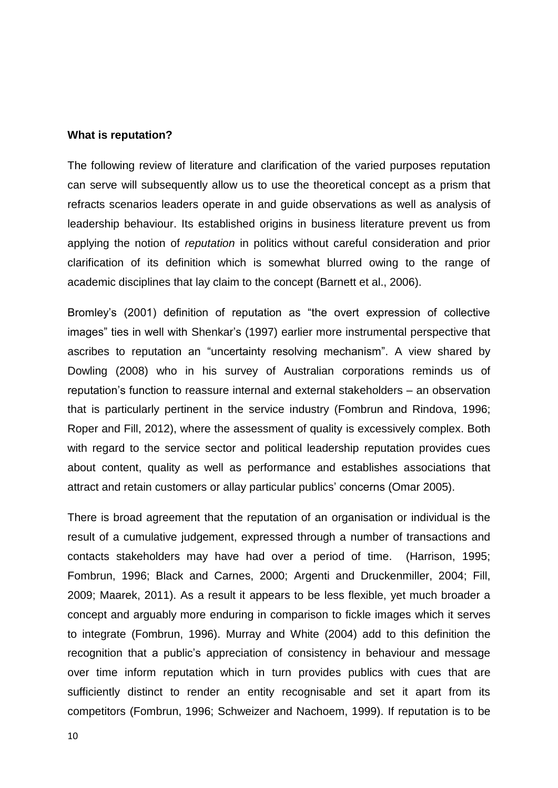#### **What is reputation?**

The following review of literature and clarification of the varied purposes reputation can serve will subsequently allow us to use the theoretical concept as a prism that refracts scenarios leaders operate in and guide observations as well as analysis of leadership behaviour. Its established origins in business literature prevent us from applying the notion of *reputation* in politics without careful consideration and prior clarification of its definition which is somewhat blurred owing to the range of academic disciplines that lay claim to the concept (Barnett et al., 2006).

Bromley's (2001) definition of reputation as "the overt expression of collective images" ties in well with Shenkar's (1997) earlier more instrumental perspective that ascribes to reputation an "uncertainty resolving mechanism". A view shared by Dowling (2008) who in his survey of Australian corporations reminds us of reputation's function to reassure internal and external stakeholders – an observation that is particularly pertinent in the service industry (Fombrun and Rindova, 1996; Roper and Fill, 2012), where the assessment of quality is excessively complex. Both with regard to the service sector and political leadership reputation provides cues about content, quality as well as performance and establishes associations that attract and retain customers or allay particular publics' concerns (Omar 2005).

There is broad agreement that the reputation of an organisation or individual is the result of a cumulative judgement, expressed through a number of transactions and contacts stakeholders may have had over a period of time. (Harrison, 1995; Fombrun, 1996; Black and Carnes, 2000; Argenti and Druckenmiller, 2004; Fill, 2009; Maarek, 2011). As a result it appears to be less flexible, yet much broader a concept and arguably more enduring in comparison to fickle images which it serves to integrate (Fombrun, 1996). Murray and White (2004) add to this definition the recognition that a public's appreciation of consistency in behaviour and message over time inform reputation which in turn provides publics with cues that are sufficiently distinct to render an entity recognisable and set it apart from its competitors (Fombrun, 1996; Schweizer and Nachoem, 1999). If reputation is to be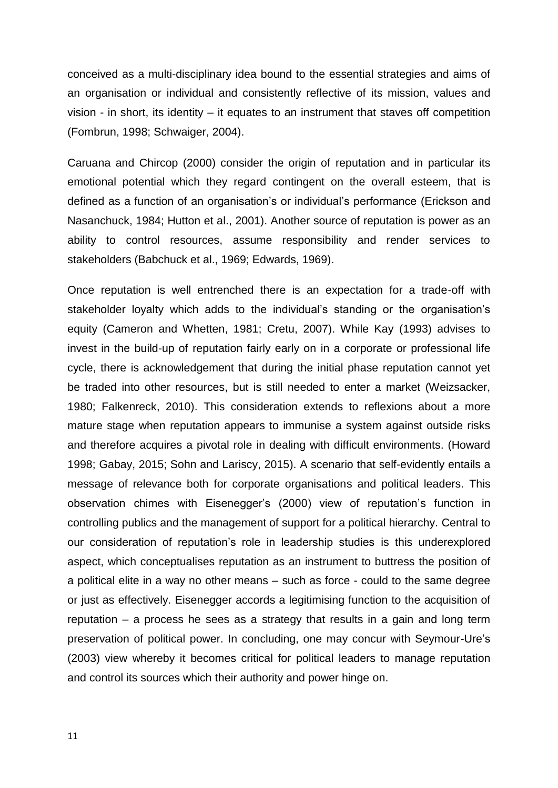conceived as a multi-disciplinary idea bound to the essential strategies and aims of an organisation or individual and consistently reflective of its mission, values and vision - in short, its identity – it equates to an instrument that staves off competition (Fombrun, 1998; Schwaiger, 2004).

Caruana and Chircop (2000) consider the origin of reputation and in particular its emotional potential which they regard contingent on the overall esteem, that is defined as a function of an organisation's or individual's performance (Erickson and Nasanchuck, 1984; Hutton et al., 2001). Another source of reputation is power as an ability to control resources, assume responsibility and render services to stakeholders (Babchuck et al., 1969; Edwards, 1969).

Once reputation is well entrenched there is an expectation for a trade-off with stakeholder loyalty which adds to the individual's standing or the organisation's equity (Cameron and Whetten, 1981; Cretu, 2007). While Kay (1993) advises to invest in the build-up of reputation fairly early on in a corporate or professional life cycle, there is acknowledgement that during the initial phase reputation cannot yet be traded into other resources, but is still needed to enter a market (Weizsacker, 1980; Falkenreck, 2010). This consideration extends to reflexions about a more mature stage when reputation appears to immunise a system against outside risks and therefore acquires a pivotal role in dealing with difficult environments. (Howard 1998; Gabay, 2015; Sohn and Lariscy, 2015). A scenario that self-evidently entails a message of relevance both for corporate organisations and political leaders. This observation chimes with Eisenegger's (2000) view of reputation's function in controlling publics and the management of support for a political hierarchy. Central to our consideration of reputation's role in leadership studies is this underexplored aspect, which conceptualises reputation as an instrument to buttress the position of a political elite in a way no other means – such as force - could to the same degree or just as effectively. Eisenegger accords a legitimising function to the acquisition of reputation – a process he sees as a strategy that results in a gain and long term preservation of political power. In concluding, one may concur with Seymour-Ure's (2003) view whereby it becomes critical for political leaders to manage reputation and control its sources which their authority and power hinge on.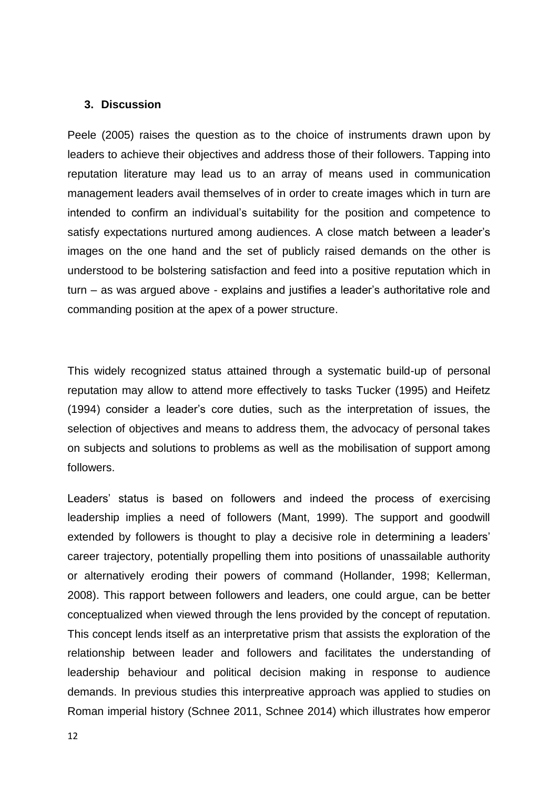### **3. Discussion**

Peele (2005) raises the question as to the choice of instruments drawn upon by leaders to achieve their objectives and address those of their followers. Tapping into reputation literature may lead us to an array of means used in communication management leaders avail themselves of in order to create images which in turn are intended to confirm an individual's suitability for the position and competence to satisfy expectations nurtured among audiences. A close match between a leader's images on the one hand and the set of publicly raised demands on the other is understood to be bolstering satisfaction and feed into a positive reputation which in turn – as was argued above - explains and justifies a leader's authoritative role and commanding position at the apex of a power structure.

This widely recognized status attained through a systematic build-up of personal reputation may allow to attend more effectively to tasks Tucker (1995) and Heifetz (1994) consider a leader's core duties, such as the interpretation of issues, the selection of objectives and means to address them, the advocacy of personal takes on subjects and solutions to problems as well as the mobilisation of support among followers.

Leaders' status is based on followers and indeed the process of exercising leadership implies a need of followers (Mant, 1999). The support and goodwill extended by followers is thought to play a decisive role in determining a leaders' career trajectory, potentially propelling them into positions of unassailable authority or alternatively eroding their powers of command (Hollander, 1998; Kellerman, 2008). This rapport between followers and leaders, one could argue, can be better conceptualized when viewed through the lens provided by the concept of reputation. This concept lends itself as an interpretative prism that assists the exploration of the relationship between leader and followers and facilitates the understanding of leadership behaviour and political decision making in response to audience demands. In previous studies this interpreative approach was applied to studies on Roman imperial history (Schnee 2011, Schnee 2014) which illustrates how emperor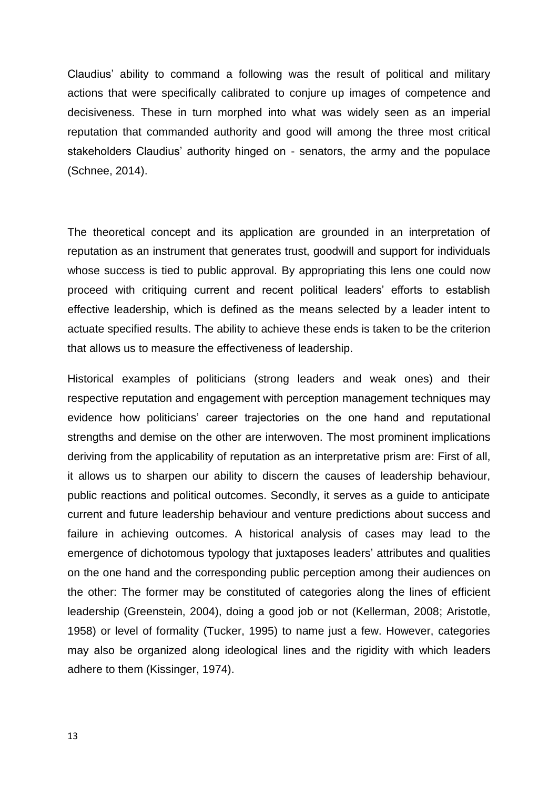Claudius' ability to command a following was the result of political and military actions that were specifically calibrated to conjure up images of competence and decisiveness. These in turn morphed into what was widely seen as an imperial reputation that commanded authority and good will among the three most critical stakeholders Claudius' authority hinged on - senators, the army and the populace (Schnee, 2014).

The theoretical concept and its application are grounded in an interpretation of reputation as an instrument that generates trust, goodwill and support for individuals whose success is tied to public approval. By appropriating this lens one could now proceed with critiquing current and recent political leaders' efforts to establish effective leadership, which is defined as the means selected by a leader intent to actuate specified results. The ability to achieve these ends is taken to be the criterion that allows us to measure the effectiveness of leadership.

Historical examples of politicians (strong leaders and weak ones) and their respective reputation and engagement with perception management techniques may evidence how politicians' career trajectories on the one hand and reputational strengths and demise on the other are interwoven. The most prominent implications deriving from the applicability of reputation as an interpretative prism are: First of all, it allows us to sharpen our ability to discern the causes of leadership behaviour, public reactions and political outcomes. Secondly, it serves as a guide to anticipate current and future leadership behaviour and venture predictions about success and failure in achieving outcomes. A historical analysis of cases may lead to the emergence of dichotomous typology that juxtaposes leaders' attributes and qualities on the one hand and the corresponding public perception among their audiences on the other: The former may be constituted of categories along the lines of efficient leadership (Greenstein, 2004), doing a good job or not (Kellerman, 2008; Aristotle, 1958) or level of formality (Tucker, 1995) to name just a few. However, categories may also be organized along ideological lines and the rigidity with which leaders adhere to them (Kissinger, 1974).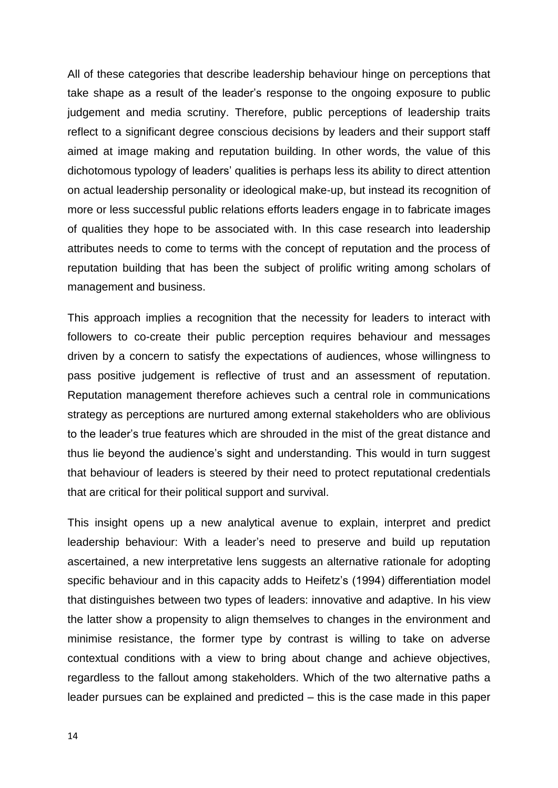All of these categories that describe leadership behaviour hinge on perceptions that take shape as a result of the leader's response to the ongoing exposure to public judgement and media scrutiny. Therefore, public perceptions of leadership traits reflect to a significant degree conscious decisions by leaders and their support staff aimed at image making and reputation building. In other words, the value of this dichotomous typology of leaders' qualities is perhaps less its ability to direct attention on actual leadership personality or ideological make-up, but instead its recognition of more or less successful public relations efforts leaders engage in to fabricate images of qualities they hope to be associated with. In this case research into leadership attributes needs to come to terms with the concept of reputation and the process of reputation building that has been the subject of prolific writing among scholars of management and business.

This approach implies a recognition that the necessity for leaders to interact with followers to co-create their public perception requires behaviour and messages driven by a concern to satisfy the expectations of audiences, whose willingness to pass positive judgement is reflective of trust and an assessment of reputation. Reputation management therefore achieves such a central role in communications strategy as perceptions are nurtured among external stakeholders who are oblivious to the leader's true features which are shrouded in the mist of the great distance and thus lie beyond the audience's sight and understanding. This would in turn suggest that behaviour of leaders is steered by their need to protect reputational credentials that are critical for their political support and survival.

This insight opens up a new analytical avenue to explain, interpret and predict leadership behaviour: With a leader's need to preserve and build up reputation ascertained, a new interpretative lens suggests an alternative rationale for adopting specific behaviour and in this capacity adds to Heifetz's (1994) differentiation model that distinguishes between two types of leaders: innovative and adaptive. In his view the latter show a propensity to align themselves to changes in the environment and minimise resistance, the former type by contrast is willing to take on adverse contextual conditions with a view to bring about change and achieve objectives, regardless to the fallout among stakeholders. Which of the two alternative paths a leader pursues can be explained and predicted – this is the case made in this paper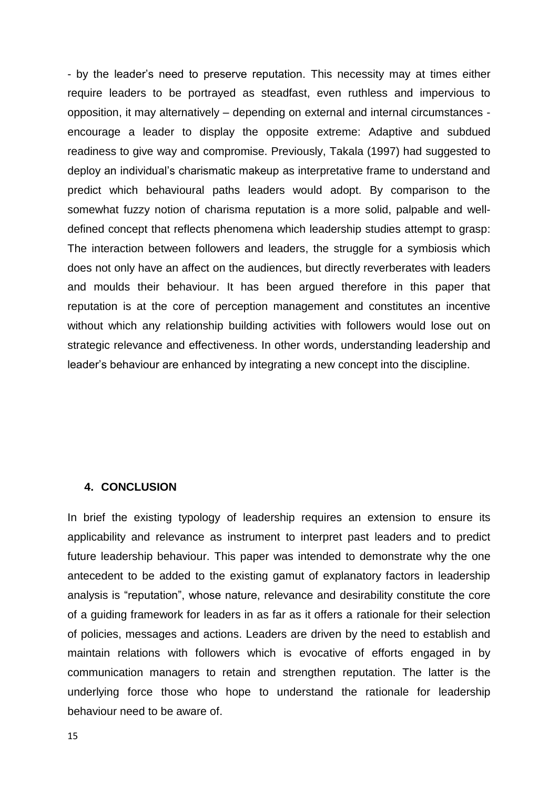- by the leader's need to preserve reputation. This necessity may at times either require leaders to be portrayed as steadfast, even ruthless and impervious to opposition, it may alternatively – depending on external and internal circumstances encourage a leader to display the opposite extreme: Adaptive and subdued readiness to give way and compromise. Previously, Takala (1997) had suggested to deploy an individual's charismatic makeup as interpretative frame to understand and predict which behavioural paths leaders would adopt. By comparison to the somewhat fuzzy notion of charisma reputation is a more solid, palpable and welldefined concept that reflects phenomena which leadership studies attempt to grasp: The interaction between followers and leaders, the struggle for a symbiosis which does not only have an affect on the audiences, but directly reverberates with leaders and moulds their behaviour. It has been argued therefore in this paper that reputation is at the core of perception management and constitutes an incentive without which any relationship building activities with followers would lose out on strategic relevance and effectiveness. In other words, understanding leadership and leader's behaviour are enhanced by integrating a new concept into the discipline.

#### **4. CONCLUSION**

In brief the existing typology of leadership requires an extension to ensure its applicability and relevance as instrument to interpret past leaders and to predict future leadership behaviour. This paper was intended to demonstrate why the one antecedent to be added to the existing gamut of explanatory factors in leadership analysis is "reputation", whose nature, relevance and desirability constitute the core of a guiding framework for leaders in as far as it offers a rationale for their selection of policies, messages and actions. Leaders are driven by the need to establish and maintain relations with followers which is evocative of efforts engaged in by communication managers to retain and strengthen reputation. The latter is the underlying force those who hope to understand the rationale for leadership behaviour need to be aware of.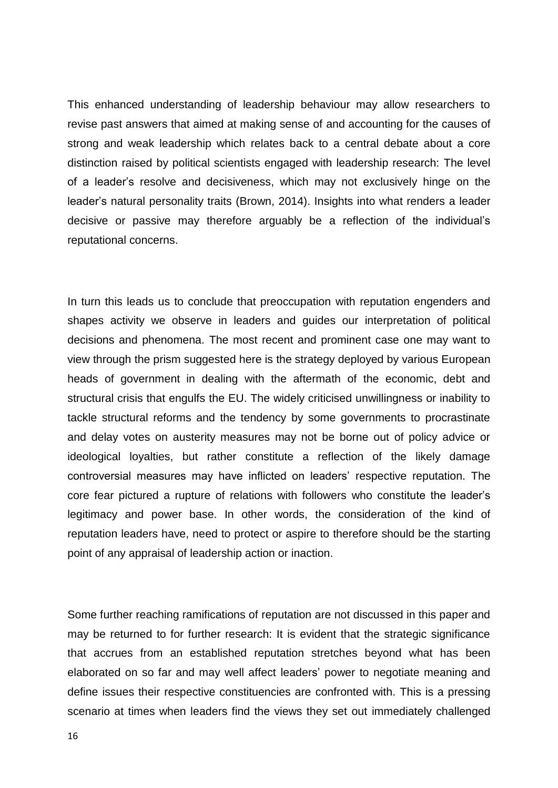This enhanced understanding of leadership behaviour may allow researchers to revise past answers that aimed at making sense of and accounting for the causes of strong and weak leadership which relates back to a central debate about a core distinction raised by political scientists engaged with leadership research: The level of a leader's resolve and decisiveness, which may not exclusively hinge on the leader's natural personality traits (Brown, 2014). Insights into what renders a leader decisive or passive may therefore arguably be a reflection of the individual's reputational concerns.

In turn this leads us to conclude that preoccupation with reputation engenders and shapes activity we observe in leaders and guides our interpretation of political decisions and phenomena. The most recent and prominent case one may want to view through the prism suggested here is the strategy deployed by various European heads of government in dealing with the aftermath of the economic, debt and structural crisis that engulfs the EU. The widely criticised unwillingness or inability to tackle structural reforms and the tendency by some governments to procrastinate and delay votes on austerity measures may not be borne out of policy advice or ideological loyalties, but rather constitute a reflection of the likely damage controversial measures may have inflicted on leaders' respective reputation. The core fear pictured a rupture of relations with followers who constitute the leader's legitimacy and power base. In other words, the consideration of the kind of reputation leaders have, need to protect or aspire to therefore should be the starting point of any appraisal of leadership action or inaction.

Some further reaching ramifications of reputation are not discussed in this paper and may be returned to for further research: It is evident that the strategic significance that accrues from an established reputation stretches beyond what has been elaborated on so far and may well affect leaders' power to negotiate meaning and define issues their respective constituencies are confronted with. This is a pressing scenario at times when leaders find the views they set out immediately challenged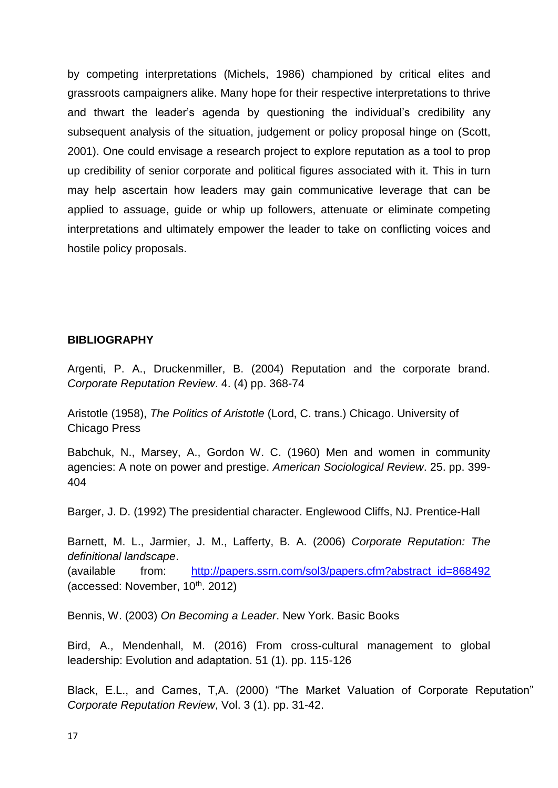by competing interpretations (Michels, 1986) championed by critical elites and grassroots campaigners alike. Many hope for their respective interpretations to thrive and thwart the leader's agenda by questioning the individual's credibility any subsequent analysis of the situation, judgement or policy proposal hinge on (Scott, 2001). One could envisage a research project to explore reputation as a tool to prop up credibility of senior corporate and political figures associated with it. This in turn may help ascertain how leaders may gain communicative leverage that can be applied to assuage, guide or whip up followers, attenuate or eliminate competing interpretations and ultimately empower the leader to take on conflicting voices and hostile policy proposals.

# **BIBLIOGRAPHY**

Argenti, P. A., Druckenmiller, B. (2004) Reputation and the corporate brand. *Corporate Reputation Review*. 4. (4) pp. 368-74

Aristotle (1958), *The Politics of Aristotle* (Lord, C. trans.) Chicago. University of Chicago Press

Babchuk, N., Marsey, A., Gordon W. C. (1960) Men and women in community agencies: A note on power and prestige. *American Sociological Review*. 25. pp. 399- 404

Barger, J. D. (1992) The presidential character. Englewood Cliffs, NJ. Prentice-Hall

Barnett, M. L., Jarmier, J. M., Lafferty, B. A. (2006) *Corporate Reputation: The definitional landscape*. (available from: [http://papers.ssrn.com/sol3/papers.cfm?abstract\\_id=868492](http://papers.ssrn.com/sol3/papers.cfm?abstract_id=868492) (accessed: November,  $10^{th}$ . 2012)

Bennis, W. (2003) *On Becoming a Leader*. New York. Basic Books

Bird, A., Mendenhall, M. (2016) From cross-cultural management to global leadership: Evolution and adaptation. 51 (1). pp. 115-126

Black, E.L., and Carnes, T,A. (2000) "The Market Valuation of Corporate Reputation" *Corporate Reputation Review*, Vol. 3 (1). pp. 31-42.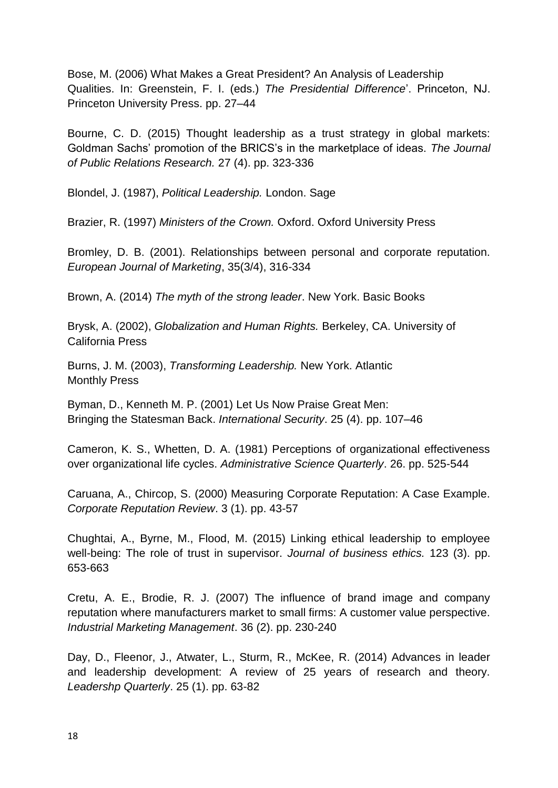Bose, M. (2006) What Makes a Great President? An Analysis of Leadership Qualities. In: Greenstein, F. I. (eds.) *The Presidential Difference*'. Princeton, NJ. Princeton University Press. pp. 27–44

Bourne, C. D. (2015) Thought leadership as a trust strategy in global markets: Goldman Sachs' promotion of the BRICS's in the marketplace of ideas. *The Journal of Public Relations Research.* 27 (4). pp. 323-336

Blondel, J. (1987), *Political Leadership.* London. Sage

Brazier, R. (1997) *Ministers of the Crown.* Oxford. Oxford University Press

Bromley, D. B. (2001). Relationships between personal and corporate reputation. *European Journal of Marketing*, 35(3/4), 316-334

Brown, A. (2014) *The myth of the strong leader*. New York. Basic Books

Brysk, A. (2002), *Globalization and Human Rights.* Berkeley, CA. University of California Press

Burns, J. M. (2003), *Transforming Leadership.* New York. Atlantic Monthly Press

Byman, D., Kenneth M. P. (2001) Let Us Now Praise Great Men: Bringing the Statesman Back. *International Security*. 25 (4). pp. 107–46

Cameron, K. S., Whetten, D. A. (1981) Perceptions of organizational effectiveness over organizational life cycles. *Administrative Science Quarterly*. 26. pp. 525-544

Caruana, A., Chircop, S. (2000) Measuring Corporate Reputation: A Case Example. *Corporate Reputation Review*. 3 (1). pp. 43-57

Chughtai, A., Byrne, M., Flood, M. (2015) Linking ethical leadership to employee well-being: The role of trust in supervisor. *Journal of business ethics.* 123 (3). pp. 653-663

Cretu, A. E., Brodie, R. J. (2007) The influence of brand image and company reputation where manufacturers market to small firms: A customer value perspective. *Industrial Marketing Management*. 36 (2). pp. 230-240

Day, D., Fleenor, J., Atwater, L., Sturm, R., McKee, R. (2014) Advances in leader and leadership development: A review of 25 years of research and theory. *Leadershp Quarterly*. 25 (1). pp. 63-82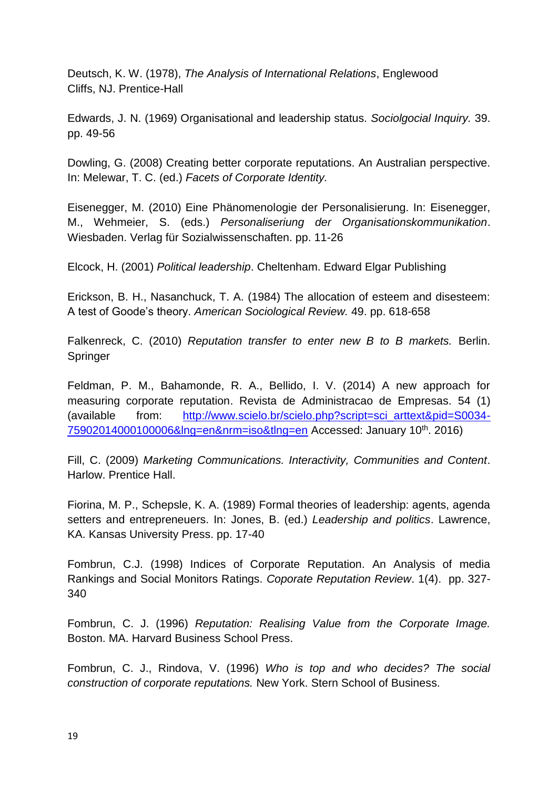Deutsch, K. W. (1978), *The Analysis of International Relations*, Englewood Cliffs, NJ. Prentice-Hall

Edwards, J. N. (1969) Organisational and leadership status. *Sociolgocial Inquiry.* 39. pp. 49-56

Dowling, G. (2008) Creating better corporate reputations. An Australian perspective. In: Melewar, T. C. (ed.) *Facets of Corporate Identity.*

Eisenegger, M. (2010) Eine Phänomenologie der Personalisierung. In: Eisenegger, M., Wehmeier, S. (eds.) *Personaliseriung der Organisationskommunikation*. Wiesbaden. Verlag für Sozialwissenschaften. pp. 11-26

Elcock, H. (2001) *Political leadership*. Cheltenham. Edward Elgar Publishing

Erickson, B. H., Nasanchuck, T. A. (1984) The allocation of esteem and disesteem: A test of Goode's theory. *American Sociological Review.* 49. pp. 618-658

Falkenreck, C. (2010) *Reputation transfer to enter new B to B markets.* Berlin. Springer

Feldman, P. M., Bahamonde, R. A., Bellido, I. V. (2014) A new approach for measuring corporate reputation. Revista de Administracao de Empresas. 54 (1) (available from: [http://www.scielo.br/scielo.php?script=sci\\_arttext&pid=S0034-](http://www.scielo.br/scielo.php?script=sci_arttext&pid=S0034-75902014000100006&lng=en&nrm=iso&tlng=en) [75902014000100006&lng=en&nrm=iso&tlng=en](http://www.scielo.br/scielo.php?script=sci_arttext&pid=S0034-75902014000100006&lng=en&nrm=iso&tlng=en) Accessed: January 10th. 2016)

Fill, C. (2009) *Marketing Communications. Interactivity, Communities and Content*. Harlow. Prentice Hall.

Fiorina, M. P., Schepsle, K. A. (1989) Formal theories of leadership: agents, agenda setters and entrepreneuers. In: Jones, B. (ed.) *Leadership and politics*. Lawrence, KA. Kansas University Press. pp. 17-40

Fombrun, C.J. (1998) Indices of Corporate Reputation. An Analysis of media Rankings and Social Monitors Ratings. *Coporate Reputation Review*. 1(4). pp. 327- 340

Fombrun, C. J. (1996) *Reputation: Realising Value from the Corporate Image.* Boston. MA. Harvard Business School Press.

Fombrun, C. J., Rindova, V. (1996) *Who is top and who decides? The social construction of corporate reputations.* New York. Stern School of Business.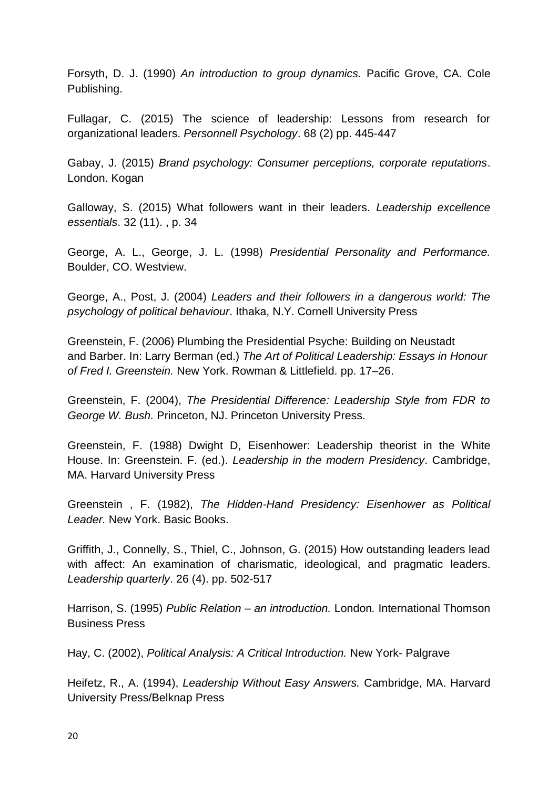Forsyth, D. J. (1990) *An introduction to group dynamics.* Pacific Grove, CA. Cole Publishing.

Fullagar, C. (2015) The science of leadership: Lessons from research for organizational leaders. *Personnell Psychology*. 68 (2) pp. 445-447

Gabay, J. (2015) *Brand psychology: Consumer perceptions, corporate reputations*. London. Kogan

Galloway, S. (2015) What followers want in their leaders. *Leadership excellence essentials*. 32 (11). , p. 34

George, A. L., George, J. L. (1998) *Presidential Personality and Performance.*  Boulder, CO. Westview.

George, A., Post, J. (2004) *Leaders and their followers in a dangerous world: The psychology of political behaviour*. Ithaka, N.Y. Cornell University Press

Greenstein, F. (2006) Plumbing the Presidential Psyche: Building on Neustadt and Barber. In: Larry Berman (ed.) *The Art of Political Leadership: Essays in Honour of Fred I. Greenstein.* New York. Rowman & Littlefield. pp. 17–26.

Greenstein, F. (2004), *The Presidential Difference: Leadership Style from FDR to George W. Bush.* Princeton, NJ. Princeton University Press.

Greenstein, F. (1988) Dwight D, Eisenhower: Leadership theorist in the White House. In: Greenstein. F. (ed.). *Leadership in the modern Presidency*. Cambridge, MA. Harvard University Press

Greenstein , F. (1982), *The Hidden-Hand Presidency: Eisenhower as Political Leader.* New York. Basic Books.

Griffith, J., Connelly, S., Thiel, C., Johnson, G. (2015) How outstanding leaders lead with affect: An examination of charismatic, ideological, and pragmatic leaders. *Leadership quarterly*. 26 (4). pp. 502-517

Harrison, S. (1995) *Public Relation – an introduction.* London*.* International Thomson Business Press

Hay, C. (2002), *Political Analysis: A Critical Introduction.* New York- Palgrave

Heifetz, R., A. (1994), *Leadership Without Easy Answers.* Cambridge, MA. Harvard University Press/Belknap Press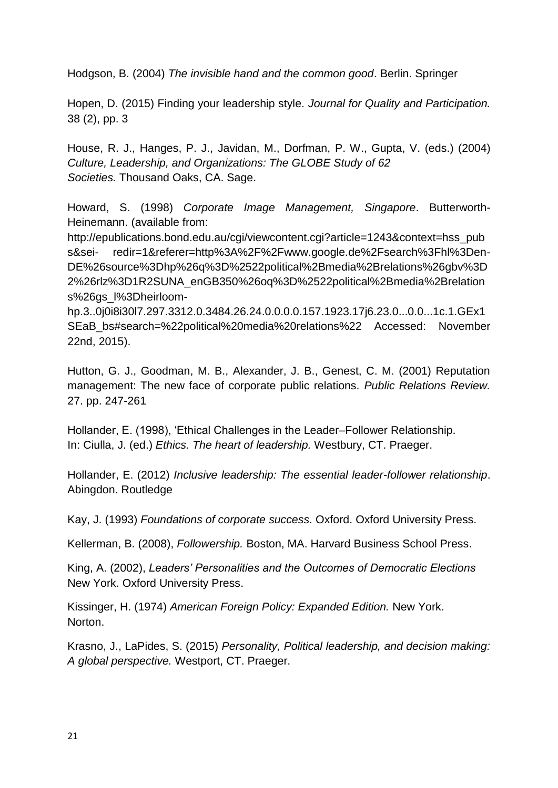Hodgson, B. (2004) *The invisible hand and the common good*. Berlin. Springer

Hopen, D. (2015) Finding your leadership style. *Journal for Quality and Participation.* 38 (2), pp. 3

House, R. J., Hanges, P. J., Javidan, M., Dorfman, P. W., Gupta, V. (eds.) (2004) *Culture, Leadership, and Organizations: The GLOBE Study of 62 Societies.* Thousand Oaks, CA. Sage.

Howard, S. (1998) *Corporate Image Management, Singapore*. Butterworth-Heinemann. (available from:

http://epublications.bond.edu.au/cgi/viewcontent.cgi?article=1243&context=hss\_pub s&sei- redir=1&referer=http%3A%2F%2Fwww.google.de%2Fsearch%3Fhl%3Den-DE%26source%3Dhp%26q%3D%2522political%2Bmedia%2Brelations%26gbv%3D 2%26rlz%3D1R2SUNA\_enGB350%26oq%3D%2522political%2Bmedia%2Brelation s%26gs\_l%3Dheirloom-

hp.3..0j0i8i30l7.297.3312.0.3484.26.24.0.0.0.0.157.1923.17j6.23.0...0.0...1c.1.GEx1 SEaB\_bs#search=%22political%20media%20relations%22 Accessed: November 22nd, 2015).

Hutton, G. J., Goodman, M. B., Alexander, J. B., Genest, C. M. (2001) Reputation management: The new face of corporate public relations. *Public Relations Review.* 27. pp. 247-261

Hollander, E. (1998), 'Ethical Challenges in the Leader–Follower Relationship. In: Ciulla, J. (ed.) *Ethics. The heart of leadership.* Westbury, CT. Praeger.

Hollander, E. (2012) *Inclusive leadership: The essential leader-follower relationship*. Abingdon. Routledge

Kay, J. (1993) *Foundations of corporate success*. Oxford. Oxford University Press.

Kellerman, B. (2008), *Followership.* Boston, MA. Harvard Business School Press.

King, A. (2002), *Leaders' Personalities and the Outcomes of Democratic Elections* New York. Oxford University Press.

Kissinger, H. (1974) *American Foreign Policy: Expanded Edition.* New York. Norton.

Krasno, J., LaPides, S. (2015) *Personality, Political leadership, and decision making: A global perspective.* Westport, CT. Praeger.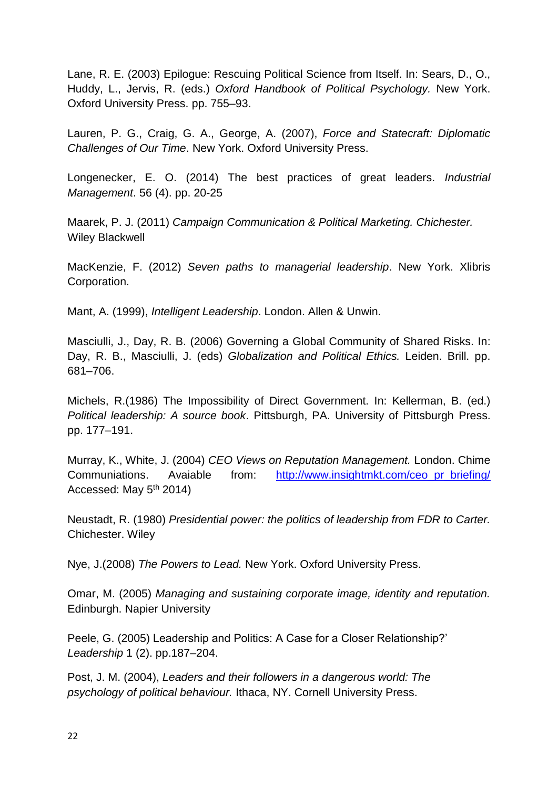Lane, R. E. (2003) Epilogue: Rescuing Political Science from Itself. In: Sears, D., O., Huddy, L., Jervis, R. (eds.) *Oxford Handbook of Political Psychology.* New York. Oxford University Press. pp. 755–93.

Lauren, P. G., Craig, G. A., George, A. (2007), *Force and Statecraft: Diplomatic Challenges of Our Time*. New York. Oxford University Press.

Longenecker, E. O. (2014) The best practices of great leaders. *Industrial Management*. 56 (4). pp. 20-25

Maarek, P. J. (2011) *Campaign Communication & Political Marketing. Chichester.* Wiley Blackwell

MacKenzie, F. (2012) *Seven paths to managerial leadership*. New York. Xlibris Corporation.

Mant, A. (1999), *Intelligent Leadership*. London. Allen & Unwin.

Masciulli, J., Day, R. B. (2006) Governing a Global Community of Shared Risks. In: Day, R. B., Masciulli, J. (eds) *Globalization and Political Ethics.* Leiden. Brill. pp. 681–706.

Michels, R.(1986) The Impossibility of Direct Government. In: Kellerman, B. (ed.) *Political leadership: A source book*. Pittsburgh, PA. University of Pittsburgh Press. pp. 177–191.

Murray, K., White, J. (2004) *CEO Views on Reputation Management.* London. Chime Communiations. Avaiable from: [http://www.insightmkt.com/ceo\\_pr\\_briefing/](http://www.insightmkt.com/ceo_pr_briefing/) Accessed: May 5<sup>th</sup> 2014)

Neustadt, R. (1980) *Presidential power: the politics of leadership from FDR to Carter.*  Chichester. Wiley

Nye, J.(2008) *The Powers to Lead.* New York. Oxford University Press.

Omar, M. (2005) *Managing and sustaining corporate image, identity and reputation.*  Edinburgh. Napier University

Peele, G. (2005) Leadership and Politics: A Case for a Closer Relationship?' *Leadership* 1 (2). pp.187–204.

Post, J. M. (2004), *Leaders and their followers in a dangerous world: The psychology of political behaviour.* Ithaca, NY. Cornell University Press.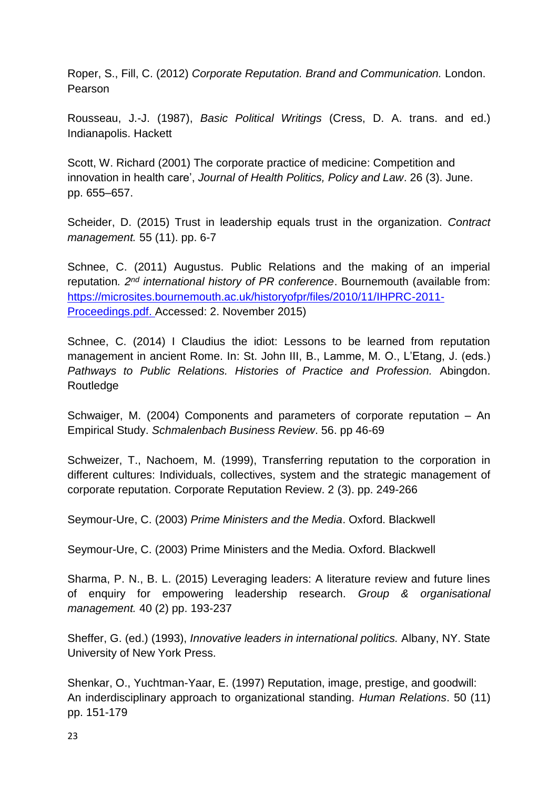Roper, S., Fill, C. (2012) *Corporate Reputation. Brand and Communication.* London. Pearson

Rousseau, J.-J. (1987), *Basic Political Writings* (Cress, D. A. trans. and ed.) Indianapolis. Hackett

Scott, W. Richard (2001) The corporate practice of medicine: Competition and innovation in health care', *Journal of Health Politics, Policy and Law*. 26 (3). June. pp. 655–657.

Scheider, D. (2015) Trust in leadership equals trust in the organization. *Contract management.* 55 (11). pp. 6-7

Schnee, C. (2011) Augustus. Public Relations and the making of an imperial reputation*. 2nd international history of PR conference*. Bournemouth (available from: [https://microsites.bournemouth.ac.uk/historyofpr/files/2010/11/IHPRC-2011-](https://microsites.bournemouth.ac.uk/historyofpr/files/2010/11/IHPRC-2011-Proceedings.pdf) [Proceedings.pdf.](https://microsites.bournemouth.ac.uk/historyofpr/files/2010/11/IHPRC-2011-Proceedings.pdf) Accessed: 2. November 2015)

Schnee, C. (2014) I Claudius the idiot: Lessons to be learned from reputation management in ancient Rome. In: St. John III, B., Lamme, M. O., L'Etang, J. (eds.) *Pathways to Public Relations. Histories of Practice and Profession.* Abingdon. **Routledge** 

Schwaiger, M. (2004) Components and parameters of corporate reputation – An Empirical Study. *Schmalenbach Business Review*. 56. pp 46-69

Schweizer, T., Nachoem, M. (1999), Transferring reputation to the corporation in different cultures: Individuals, collectives, system and the strategic management of corporate reputation. Corporate Reputation Review. 2 (3). pp. 249-266

Seymour-Ure, C. (2003) *Prime Ministers and the Media*. Oxford. Blackwell

Seymour-Ure, C. (2003) Prime Ministers and the Media. Oxford. Blackwell

Sharma, P. N., B. L. (2015) Leveraging leaders: A literature review and future lines of enquiry for empowering leadership research. *Group & organisational management.* 40 (2) pp. 193-237

Sheffer, G. (ed.) (1993), *Innovative leaders in international politics.* Albany, NY. State University of New York Press.

Shenkar, O., Yuchtman-Yaar, E. (1997) Reputation, image, prestige, and goodwill: An inderdisciplinary approach to organizational standing. *Human Relations*. 50 (11) pp. 151-179